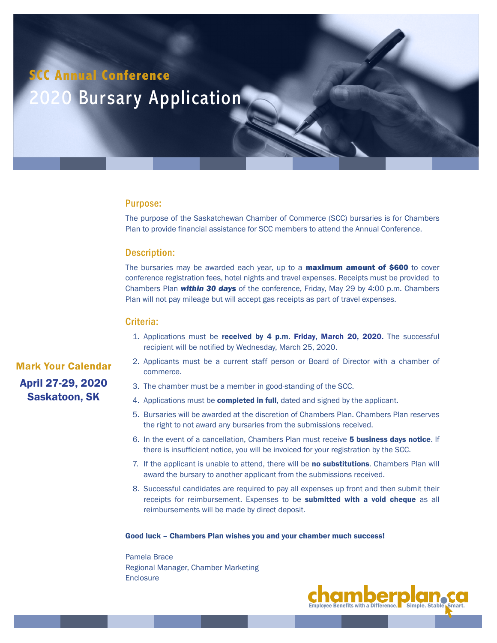## **SCC Annual Conference**

# 2020 Bursary Application

#### Purpose:

The purpose of the Saskatchewan Chamber of Commerce (SCC) bursaries is for Chambers Plan to provide financial assistance for SCC members to attend the Annual Conference.

### Description:

The bursaries may be awarded each year, up to a **maximum amount of \$600** to cover conference registration fees, hotel nights and travel expenses. Receipts must be provided to Chambers Plan *within 30 days* of the conference, Friday, May 29 by 4:00 p.m. Chambers Plan will not pay mileage but will accept gas receipts as part of travel expenses.

#### Criteria:

- 1. Applications must be received by 4 p.m. Friday, March 20, 2020. The successful recipient will be notified by Wednesday, March 25, 2020.
- 2. Applicants must be a current staff person or Board of Director with a chamber of commerce.
- 3. The chamber must be a member in good-standing of the SCC.
- 4. Applications must be **completed in full**, dated and signed by the applicant.
- 5. Bursaries will be awarded at the discretion of Chambers Plan. Chambers Plan reserves the right to not award any bursaries from the submissions received.
- 6. In the event of a cancellation, Chambers Plan must receive 5 business days notice. If there is insufficient notice, you will be invoiced for your registration by the SCC.
- 7. If the applicant is unable to attend, there will be no substitutions. Chambers Plan will award the bursary to another applicant from the submissions received.
- 8. Successful candidates are required to pay all expenses up front and then submit their receipts for reimbursement. Expenses to be submitted with a void cheque as all reimbursements will be made by direct deposit.

Good luck – Chambers Plan wishes you and your chamber much success!

Pamela Brace Regional Manager, Chamber Marketing **Enclosure** 



Mark Your Calendar April 27-29, 2020 Saskatoon, SK